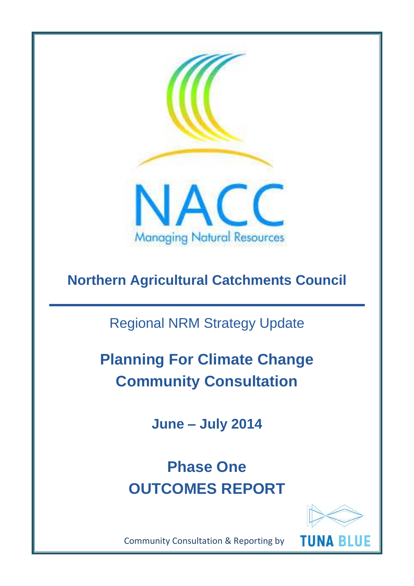

# **Northern Agricultural Catchments Council**

Regional NRM Strategy Update

**Planning For Climate Change Community Consultation**

**June – July 2014**

**Phase One OUTCOMES REPORT**



Community Consultation & Reporting by

**TUNA BLUE**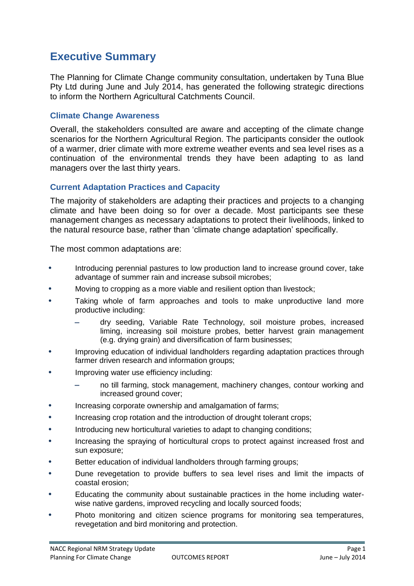# **Executive Summary**

The Planning for Climate Change community consultation, undertaken by Tuna Blue Pty Ltd during June and July 2014, has generated the following strategic directions to inform the Northern Agricultural Catchments Council.

#### **Climate Change Awareness**

Overall, the stakeholders consulted are aware and accepting of the climate change scenarios for the Northern Agricultural Region. The participants consider the outlook of a warmer, drier climate with more extreme weather events and sea level rises as a continuation of the environmental trends they have been adapting to as land managers over the last thirty years.

# **Current Adaptation Practices and Capacity**

The majority of stakeholders are adapting their practices and projects to a changing climate and have been doing so for over a decade. Most participants see these management changes as necessary adaptations to protect their livelihoods, linked to the natural resource base, rather than 'climate change adaptation' specifically.

The most common adaptations are:

- **•** Introducing perennial pastures to low production land to increase ground cover, take advantage of summer rain and increase subsoil microbes;
- **•** Moving to cropping as a more viable and resilient option than livestock;
- **•** Taking whole of farm approaches and tools to make unproductive land more productive including:
	- dry seeding, Variable Rate Technology, soil moisture probes, increased liming, increasing soil moisture probes, better harvest grain management (e.g. drying grain) and diversification of farm businesses;
- **•** Improving education of individual landholders regarding adaptation practices through farmer driven research and information groups;
- **•** Improving water use efficiency including:
	- no till farming, stock management, machinery changes, contour working and increased ground cover;
- **•** Increasing corporate ownership and amalgamation of farms;
- **•** Increasing crop rotation and the introduction of drought tolerant crops;
- **•** Introducing new horticultural varieties to adapt to changing conditions;
- **•** Increasing the spraying of horticultural crops to protect against increased frost and sun exposure;
- **•** Better education of individual landholders through farming groups;
- **•** Dune revegetation to provide buffers to sea level rises and limit the impacts of coastal erosion;
- **•** Educating the community about sustainable practices in the home including waterwise native gardens, improved recycling and locally sourced foods;
- **•** Photo monitoring and citizen science programs for monitoring sea temperatures, revegetation and bird monitoring and protection.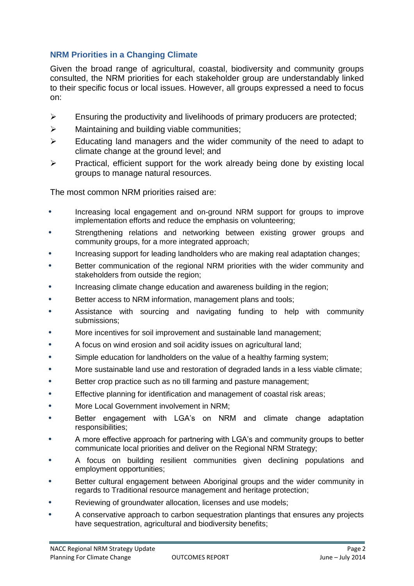# **NRM Priorities in a Changing Climate**

Given the broad range of agricultural, coastal, biodiversity and community groups consulted, the NRM priorities for each stakeholder group are understandably linked to their specific focus or local issues. However, all groups expressed a need to focus on:

- $\triangleright$  Ensuring the productivity and livelihoods of primary producers are protected;
- $\triangleright$  Maintaining and building viable communities;
- $\triangleright$  Educating land managers and the wider community of the need to adapt to climate change at the ground level; and
- $\triangleright$  Practical, efficient support for the work already being done by existing local groups to manage natural resources.

The most common NRM priorities raised are:

- **•** Increasing local engagement and on-ground NRM support for groups to improve implementation efforts and reduce the emphasis on volunteering;
- **•** Strengthening relations and networking between existing grower groups and community groups, for a more integrated approach;
- **•** Increasing support for leading landholders who are making real adaptation changes;
- **•** Better communication of the regional NRM priorities with the wider community and stakeholders from outside the region;
- **•** Increasing climate change education and awareness building in the region;
- **•** Better access to NRM information, management plans and tools;
- **•** Assistance with sourcing and navigating funding to help with community submissions;
- **•** More incentives for soil improvement and sustainable land management;
- **•** A focus on wind erosion and soil acidity issues on agricultural land;
- **•** Simple education for landholders on the value of a healthy farming system;
- **•** More sustainable land use and restoration of degraded lands in a less viable climate;
- **•** Better crop practice such as no till farming and pasture management;
- **•** Effective planning for identification and management of coastal risk areas;
- **•** More Local Government involvement in NRM;
- **•** Better engagement with LGA's on NRM and climate change adaptation responsibilities;
- **•** A more effective approach for partnering with LGA's and community groups to better communicate local priorities and deliver on the Regional NRM Strategy;
- **•** A focus on building resilient communities given declining populations and employment opportunities;
- **•** Better cultural engagement between Aboriginal groups and the wider community in regards to Traditional resource management and heritage protection;
- **•** Reviewing of groundwater allocation, licenses and use models;
- **•** A conservative approach to carbon sequestration plantings that ensures any projects have sequestration, agricultural and biodiversity benefits;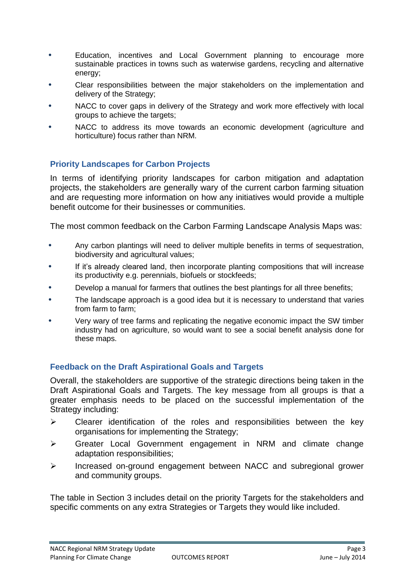- **•** Education, incentives and Local Government planning to encourage more sustainable practices in towns such as waterwise gardens, recycling and alternative energy;
- **•** Clear responsibilities between the major stakeholders on the implementation and delivery of the Strategy;
- **•** NACC to cover gaps in delivery of the Strategy and work more effectively with local groups to achieve the targets;
- **•** NACC to address its move towards an economic development (agriculture and horticulture) focus rather than NRM.

# **Priority Landscapes for Carbon Projects**

In terms of identifying priority landscapes for carbon mitigation and adaptation projects, the stakeholders are generally wary of the current carbon farming situation and are requesting more information on how any initiatives would provide a multiple benefit outcome for their businesses or communities.

The most common feedback on the Carbon Farming Landscape Analysis Maps was:

- **•** Any carbon plantings will need to deliver multiple benefits in terms of sequestration, biodiversity and agricultural values;
- **•** If it's already cleared land, then incorporate planting compositions that will increase its productivity e.g. perennials, biofuels or stockfeeds;
- **•** Develop a manual for farmers that outlines the best plantings for all three benefits;
- **•** The landscape approach is a good idea but it is necessary to understand that varies from farm to farm;
- **•** Very wary of tree farms and replicating the negative economic impact the SW timber industry had on agriculture, so would want to see a social benefit analysis done for these maps.

# **Feedback on the Draft Aspirational Goals and Targets**

Overall, the stakeholders are supportive of the strategic directions being taken in the Draft Aspirational Goals and Targets. The key message from all groups is that a greater emphasis needs to be placed on the successful implementation of the Strategy including:

- $\triangleright$  Clearer identification of the roles and responsibilities between the key organisations for implementing the Strategy;
- Greater Local Government engagement in NRM and climate change adaptation responsibilities;
- Increased on-ground engagement between NACC and subregional grower and community groups.

The table in Section 3 includes detail on the priority Targets for the stakeholders and specific comments on any extra Strategies or Targets they would like included.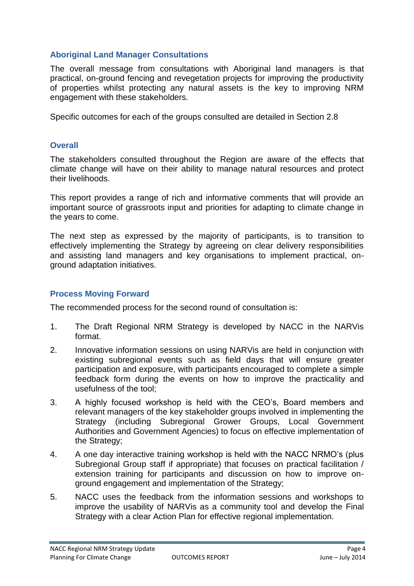# **Aboriginal Land Manager Consultations**

The overall message from consultations with Aboriginal land managers is that practical, on-ground fencing and revegetation projects for improving the productivity of properties whilst protecting any natural assets is the key to improving NRM engagement with these stakeholders.

Specific outcomes for each of the groups consulted are detailed in Section 2.8

### **Overall**

The stakeholders consulted throughout the Region are aware of the effects that climate change will have on their ability to manage natural resources and protect their livelihoods.

This report provides a range of rich and informative comments that will provide an important source of grassroots input and priorities for adapting to climate change in the years to come.

The next step as expressed by the majority of participants, is to transition to effectively implementing the Strategy by agreeing on clear delivery responsibilities and assisting land managers and key organisations to implement practical, onground adaptation initiatives.

#### **Process Moving Forward**

The recommended process for the second round of consultation is:

- 1. The Draft Regional NRM Strategy is developed by NACC in the NARVis format.
- 2. Innovative information sessions on using NARVis are held in conjunction with existing subregional events such as field days that will ensure greater participation and exposure, with participants encouraged to complete a simple feedback form during the events on how to improve the practicality and usefulness of the tool;
- 3. A highly focused workshop is held with the CEO's, Board members and relevant managers of the key stakeholder groups involved in implementing the Strategy (including Subregional Grower Groups, Local Government Authorities and Government Agencies) to focus on effective implementation of the Strategy;
- 4. A one day interactive training workshop is held with the NACC NRMO's (plus Subregional Group staff if appropriate) that focuses on practical facilitation / extension training for participants and discussion on how to improve onground engagement and implementation of the Strategy;
- 5. NACC uses the feedback from the information sessions and workshops to improve the usability of NARVis as a community tool and develop the Final Strategy with a clear Action Plan for effective regional implementation.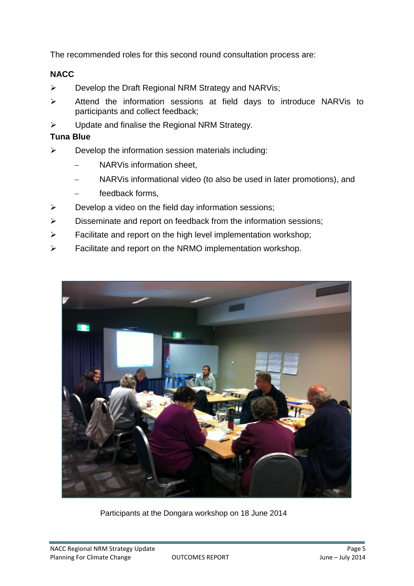The recommended roles for this second round consultation process are:

# **NACC**

- $\triangleright$  Develop the Draft Regional NRM Strategy and NARVis;
- $\triangleright$  Attend the information sessions at field days to introduce NARVis to participants and collect feedback;
- $\triangleright$  Update and finalise the Regional NRM Strategy.

# **Tuna Blue**

- $\triangleright$  Develop the information session materials including:
	- NARVis information sheet,
	- NARVis informational video (to also be used in later promotions), and
	- feedback forms,
- $\triangleright$  Develop a video on the field day information sessions;
- $\triangleright$  Disseminate and report on feedback from the information sessions;
- $\triangleright$  Facilitate and report on the high level implementation workshop;
- $\triangleright$  Facilitate and report on the NRMO implementation workshop.



Participants at the Dongara workshop on 18 June 2014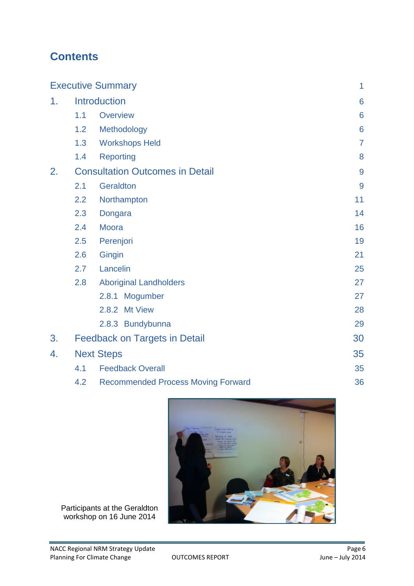# **Contents**

| <b>Executive Summary</b> |                                        |                                           | $\mathbf{1}$    |
|--------------------------|----------------------------------------|-------------------------------------------|-----------------|
| 1.                       | Introduction                           |                                           | $6\phantom{1}6$ |
|                          | 1.1                                    | <b>Overview</b>                           | 6               |
|                          | 1.2                                    | Methodology                               | $6\phantom{1}6$ |
|                          | 1.3                                    | <b>Workshops Held</b>                     | $\overline{7}$  |
|                          | 1.4                                    | <b>Reporting</b>                          | 8               |
| 2.                       | <b>Consultation Outcomes in Detail</b> |                                           | 9               |
|                          | 2.1                                    | Geraldton                                 | 9               |
|                          | 2.2                                    | Northampton                               | 11              |
|                          | 2.3                                    | Dongara                                   | 14              |
|                          | 2.4                                    | <b>Moora</b>                              | 16              |
|                          | 2.5                                    | Perenjori                                 | 19              |
|                          | 2.6                                    | Gingin                                    | 21              |
|                          | 2.7                                    | Lancelin                                  | 25              |
|                          | 2.8                                    | <b>Aboriginal Landholders</b>             | 27              |
|                          |                                        | 2.8.1<br>Mogumber                         | 27              |
|                          |                                        | 2.8.2 Mt View                             | 28              |
|                          |                                        | 2.8.3 Bundybunna                          | 29              |
| 3.                       | <b>Feedback on Targets in Detail</b>   |                                           | 30              |
| 4.                       | <b>Next Steps</b>                      |                                           | 35              |
|                          | 4.1                                    | <b>Feedback Overall</b>                   |                 |
|                          | 4.2                                    | <b>Recommended Process Moving Forward</b> | 36              |



Participants at the Geraldton workshop on 16 June 2014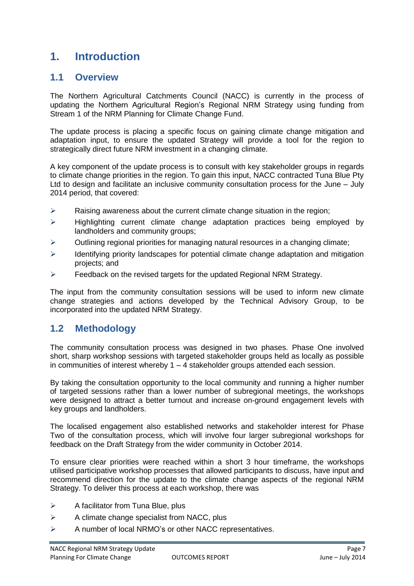# **1. Introduction**

# **1.1 Overview**

The Northern Agricultural Catchments Council (NACC) is currently in the process of updating the Northern Agricultural Region's Regional NRM Strategy using funding from Stream 1 of the NRM Planning for Climate Change Fund.

The update process is placing a specific focus on gaining climate change mitigation and adaptation input, to ensure the updated Strategy will provide a tool for the region to strategically direct future NRM investment in a changing climate.

A key component of the update process is to consult with key stakeholder groups in regards to climate change priorities in the region. To gain this input, NACC contracted Tuna Blue Pty Ltd to design and facilitate an inclusive community consultation process for the June – July 2014 period, that covered:

- $\triangleright$  Raising awareness about the current climate change situation in the region;
- $\triangleright$  Highlighting current climate change adaptation practices being employed by landholders and community groups;
- $\triangleright$  Outlining regional priorities for managing natural resources in a changing climate;
- $\triangleright$  Identifying priority landscapes for potential climate change adaptation and mitigation projects; and
- $\triangleright$  Feedback on the revised targets for the updated Regional NRM Strategy.

The input from the community consultation sessions will be used to inform new climate change strategies and actions developed by the Technical Advisory Group, to be incorporated into the updated NRM Strategy.

# **1.2 Methodology**

The community consultation process was designed in two phases. Phase One involved short, sharp workshop sessions with targeted stakeholder groups held as locally as possible in communities of interest whereby  $1 - 4$  stakeholder groups attended each session.

By taking the consultation opportunity to the local community and running a higher number of targeted sessions rather than a lower number of subregional meetings, the workshops were designed to attract a better turnout and increase on-ground engagement levels with key groups and landholders.

The localised engagement also established networks and stakeholder interest for Phase Two of the consultation process, which will involve four larger subregional workshops for feedback on the Draft Strategy from the wider community in October 2014.

To ensure clear priorities were reached within a short 3 hour timeframe, the workshops utilised participative workshop processes that allowed participants to discuss, have input and recommend direction for the update to the climate change aspects of the regional NRM Strategy. To deliver this process at each workshop, there was

- $\triangleright$  A facilitator from Tuna Blue, plus
- $\triangleright$  A climate change specialist from NACC, plus
- $\triangleright$  A number of local NRMO's or other NACC representatives.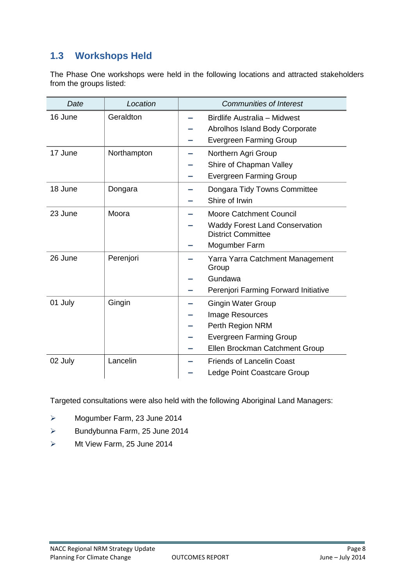# **1.3 Workshops Held**

The Phase One workshops were held in the following locations and attracted stakeholders from the groups listed:

| Date    | Location    | <b>Communities of Interest</b>                                                                                                       |
|---------|-------------|--------------------------------------------------------------------------------------------------------------------------------------|
| 16 June | Geraldton   | Birdlife Australia - Midwest<br>Abrolhos Island Body Corporate<br><b>Evergreen Farming Group</b>                                     |
| 17 June | Northampton | Northern Agri Group<br>Shire of Chapman Valley<br><b>Evergreen Farming Group</b>                                                     |
| 18 June | Dongara     | Dongara Tidy Towns Committee<br>Shire of Irwin                                                                                       |
| 23 June | Moora       | <b>Moore Catchment Council</b><br><b>Waddy Forest Land Conservation</b><br><b>District Committee</b><br>Mogumber Farm                |
| 26 June | Perenjori   | Yarra Yarra Catchment Management<br>Group<br>Gundawa<br>Perenjori Farming Forward Initiative                                         |
| 01 July | Gingin      | <b>Gingin Water Group</b><br>Image Resources<br>Perth Region NRM<br><b>Evergreen Farming Group</b><br>Ellen Brockman Catchment Group |
| 02 July | Lancelin    | <b>Friends of Lancelin Coast</b><br>Ledge Point Coastcare Group                                                                      |

Targeted consultations were also held with the following Aboriginal Land Managers:

- Mogumber Farm, 23 June 2014
- $\triangleright$  Bundybunna Farm, 25 June 2014
- > Mt View Farm, 25 June 2014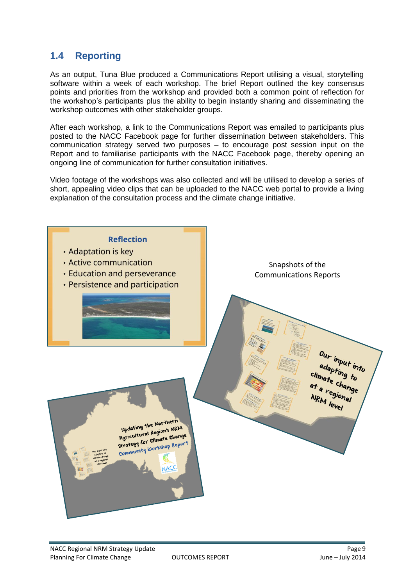# **1.4 Reporting**

As an output, Tuna Blue produced a Communications Report utilising a visual, storytelling software within a week of each workshop. The brief Report outlined the key consensus points and priorities from the workshop and provided both a common point of reflection for the workshop's participants plus the ability to begin instantly sharing and disseminating the workshop outcomes with other stakeholder groups.

After each workshop, a link to the Communications Report was emailed to participants plus posted to the NACC Facebook page for further dissemination between stakeholders. This communication strategy served two purposes – to encourage post session input on the Report and to familiarise participants with the NACC Facebook page, thereby opening an ongoing line of communication for further consultation initiatives.

Video footage of the workshops was also collected and will be utilised to develop a series of short, appealing video clips that can be uploaded to the NACC web portal to provide a living explanation of the consultation process and the climate change initiative.

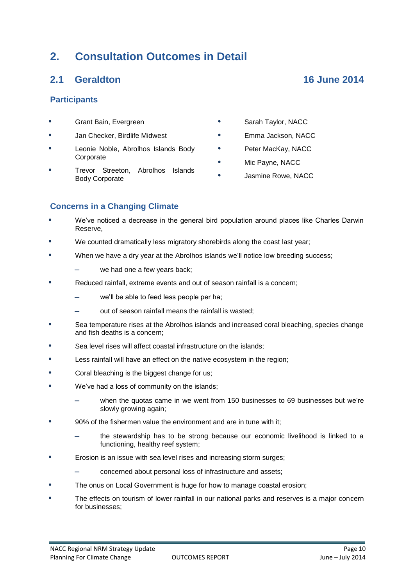# **2. Consultation Outcomes in Detail**

# **2.1 Geraldton 16 June 2014**

### **Participants**

- **•** Grant Bain, Evergreen
- **•** Jan Checker, Birdlife Midwest
- **•** Leonie Noble, Abrolhos Islands Body Corporate
- **•** Trevor Streeton, Abrolhos Islands Body Corporate
- **•** Sarah Taylor, NACC
- **•** Emma Jackson, NACC
- **•** Peter MacKay, NACC
- **•** Mic Payne, NACC
- **•** Jasmine Rowe, NACC

#### **Concerns in a Changing Climate**

- **•** We've noticed a decrease in the general bird population around places like Charles Darwin Reserve,
- **•** We counted dramatically less migratory shorebirds along the coast last year;
- **•** When we have a dry year at the Abrolhos islands we'll notice low breeding success;
	- we had one a few years back;
- **•** Reduced rainfall, extreme events and out of season rainfall is a concern;
	- we'll be able to feed less people per ha;
	- out of season rainfall means the rainfall is wasted;
- **•** Sea temperature rises at the Abrolhos islands and increased coral bleaching, species change and fish deaths is a concern;
- **•** Sea level rises will affect coastal infrastructure on the islands;
- **•** Less rainfall will have an effect on the native ecosystem in the region;
- **•** Coral bleaching is the biggest change for us;
- **•** We've had a loss of community on the islands;
	- when the quotas came in we went from 150 businesses to 69 businesses but we're slowly growing again;
- **•** 90% of the fishermen value the environment and are in tune with it;
	- the stewardship has to be strong because our economic livelihood is linked to a functioning, healthy reef system;
- **•** Erosion is an issue with sea level rises and increasing storm surges;
	- concerned about personal loss of infrastructure and assets;
- **•** The onus on Local Government is huge for how to manage coastal erosion;
- **•** The effects on tourism of lower rainfall in our national parks and reserves is a major concern for businesses;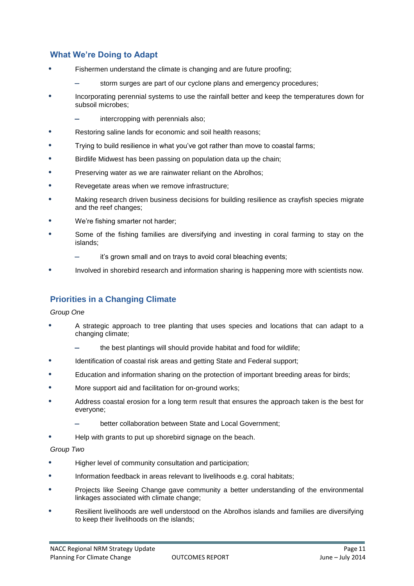# **What We're Doing to Adapt**

- **•** Fishermen understand the climate is changing and are future proofing;
	- storm surges are part of our cyclone plans and emergency procedures;
- **•** Incorporating perennial systems to use the rainfall better and keep the temperatures down for subsoil microbes;
	- intercropping with perennials also;
- **•** Restoring saline lands for economic and soil health reasons;
- **•** Trying to build resilience in what you've got rather than move to coastal farms;
- **•** Birdlife Midwest has been passing on population data up the chain;
- **•** Preserving water as we are rainwater reliant on the Abrolhos;
- **•** Revegetate areas when we remove infrastructure;
- **•** Making research driven business decisions for building resilience as crayfish species migrate and the reef changes;
- **•** We're fishing smarter not harder;
- **•** Some of the fishing families are diversifying and investing in coral farming to stay on the islands;
	- it's grown small and on trays to avoid coral bleaching events;
- **•** Involved in shorebird research and information sharing is happening more with scientists now.

# **Priorities in a Changing Climate**

#### *Group One*

- **•** A strategic approach to tree planting that uses species and locations that can adapt to a changing climate;
	- the best plantings will should provide habitat and food for wildlife;
- **•** Identification of coastal risk areas and getting State and Federal support;
- **•** Education and information sharing on the protection of important breeding areas for birds;
- **•** More support aid and facilitation for on-ground works;
- **•** Address coastal erosion for a long term result that ensures the approach taken is the best for everyone;
	- better collaboration between State and Local Government;
- **•** Help with grants to put up shorebird signage on the beach.

#### *Group Two*

- **•** Higher level of community consultation and participation;
- **•** Information feedback in areas relevant to livelihoods e.g. coral habitats;
- **•** Projects like Seeing Change gave community a better understanding of the environmental linkages associated with climate change;
- **•** Resilient livelihoods are well understood on the Abrolhos islands and families are diversifying to keep their livelihoods on the islands;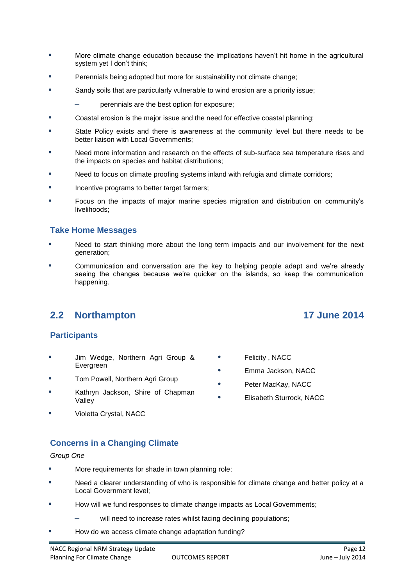- **•** More climate change education because the implications haven't hit home in the agricultural system yet I don't think;
- **•** Perennials being adopted but more for sustainability not climate change;
- **•** Sandy soils that are particularly vulnerable to wind erosion are a priority issue;
	- perennials are the best option for exposure;
- **•** Coastal erosion is the major issue and the need for effective coastal planning;
- **•** State Policy exists and there is awareness at the community level but there needs to be better liaison with Local Governments;
- **•** Need more information and research on the effects of sub-surface sea temperature rises and the impacts on species and habitat distributions;
- **•** Need to focus on climate proofing systems inland with refugia and climate corridors;
- **•** Incentive programs to better target farmers;
- **•** Focus on the impacts of major marine species migration and distribution on community's livelihoods;

#### **Take Home Messages**

- **•** Need to start thinking more about the long term impacts and our involvement for the next generation;
- **•** Communication and conversation are the key to helping people adapt and we're already seeing the changes because we're quicker on the islands, so keep the communication happening.

# **2.2 Northampton 17 June 2014**

#### **Participants**

- **•** Jim Wedge, Northern Agri Group & Evergreen
- **•** Tom Powell, Northern Agri Group
- **•** Kathryn Jackson, Shire of Chapman Valley
- **•** Violetta Crystal, NACC

# **Concerns in a Changing Climate**

#### *Group One*

- **•** More requirements for shade in town planning role;
- **•** Need a clearer understanding of who is responsible for climate change and better policy at a Local Government level;
- **•** How will we fund responses to climate change impacts as Local Governments;
	- will need to increase rates whilst facing declining populations;
- **•** How do we access climate change adaptation funding?

- **•** Felicity , NACC
- **•** Emma Jackson, NACC
- **•** Peter MacKay, NACC
- **•** Elisabeth Sturrock, NACC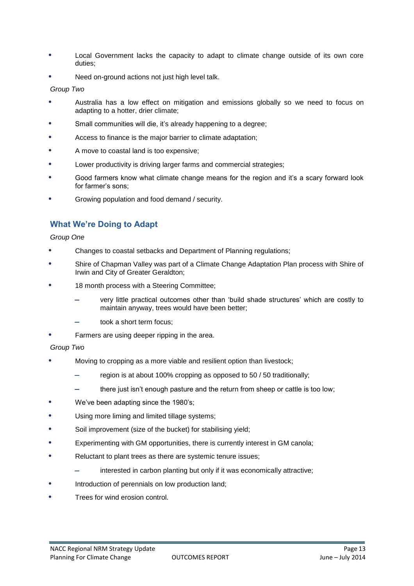- **•** Local Government lacks the capacity to adapt to climate change outside of its own core duties;
- **•** Need on-ground actions not just high level talk.

#### *Group Two*

- **•** Australia has a low effect on mitigation and emissions globally so we need to focus on adapting to a hotter, drier climate;
- **•** Small communities will die, it's already happening to a degree;
- **•** Access to finance is the major barrier to climate adaptation;
- **•** A move to coastal land is too expensive;
- **•** Lower productivity is driving larger farms and commercial strategies;
- **•** Good farmers know what climate change means for the region and it's a scary forward look for farmer's sons;
- **•** Growing population and food demand / security.

# **What We're Doing to Adapt**

#### *Group One*

- **•** Changes to coastal setbacks and Department of Planning regulations;
- **•** Shire of Chapman Valley was part of a Climate Change Adaptation Plan process with Shire of Irwin and City of Greater Geraldton;
- **•** 18 month process with a Steering Committee;
	- very little practical outcomes other than 'build shade structures' which are costly to maintain anyway, trees would have been better;
	- took a short term focus;
- **•** Farmers are using deeper ripping in the area.

#### *Group Two*

- **•** Moving to cropping as a more viable and resilient option than livestock;
	- region is at about 100% cropping as opposed to 50 / 50 traditionally;
	- there just isn't enough pasture and the return from sheep or cattle is too low;
- **•** We've been adapting since the 1980's;
- **•** Using more liming and limited tillage systems;
- **•** Soil improvement (size of the bucket) for stabilising yield;
- **•** Experimenting with GM opportunities, there is currently interest in GM canola;
- **•** Reluctant to plant trees as there are systemic tenure issues;
	- interested in carbon planting but only if it was economically attractive;
- **•** Introduction of perennials on low production land;
- **•** Trees for wind erosion control.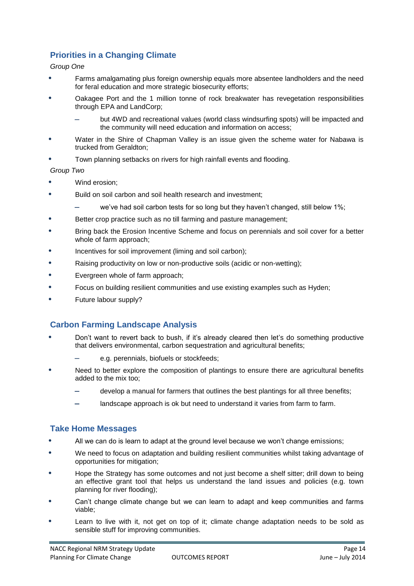# **Priorities in a Changing Climate**

#### *Group One*

- **•** Farms amalgamating plus foreign ownership equals more absentee landholders and the need for feral education and more strategic biosecurity efforts;
- **•** Oakagee Port and the 1 million tonne of rock breakwater has revegetation responsibilities through EPA and LandCorp;
	- but 4WD and recreational values (world class windsurfing spots) will be impacted and the community will need education and information on access;
- **•** Water in the Shire of Chapman Valley is an issue given the scheme water for Nabawa is trucked from Geraldton;
- **•** Town planning setbacks on rivers for high rainfall events and flooding.

*Group Two*

- **•** Wind erosion;
- **•** Build on soil carbon and soil health research and investment;
	- we've had soil carbon tests for so long but they haven't changed, still below 1%;
- **•** Better crop practice such as no till farming and pasture management;
- **•** Bring back the Erosion Incentive Scheme and focus on perennials and soil cover for a better whole of farm approach;
- **•** Incentives for soil improvement (liming and soil carbon);
- **•** Raising productivity on low or non-productive soils (acidic or non-wetting);
- **•** Evergreen whole of farm approach;
- **•** Focus on building resilient communities and use existing examples such as Hyden;
- **•** Future labour supply?

# **Carbon Farming Landscape Analysis**

- **•** Don't want to revert back to bush, if it's already cleared then let's do something productive that delivers environmental, carbon sequestration and agricultural benefits;
	- e.g. perennials, biofuels or stockfeeds;
- **•** Need to better explore the composition of plantings to ensure there are agricultural benefits added to the mix too;
	- develop a manual for farmers that outlines the best plantings for all three benefits;
	- landscape approach is ok but need to understand it varies from farm to farm.

#### **Take Home Messages**

- **•** All we can do is learn to adapt at the ground level because we won't change emissions;
- **•** We need to focus on adaptation and building resilient communities whilst taking advantage of opportunities for mitigation;
- **•** Hope the Strategy has some outcomes and not just become a shelf sitter; drill down to being an effective grant tool that helps us understand the land issues and policies (e.g. town planning for river flooding);
- **•** Can't change climate change but we can learn to adapt and keep communities and farms viable;
- **•** Learn to live with it, not get on top of it; climate change adaptation needs to be sold as sensible stuff for improving communities.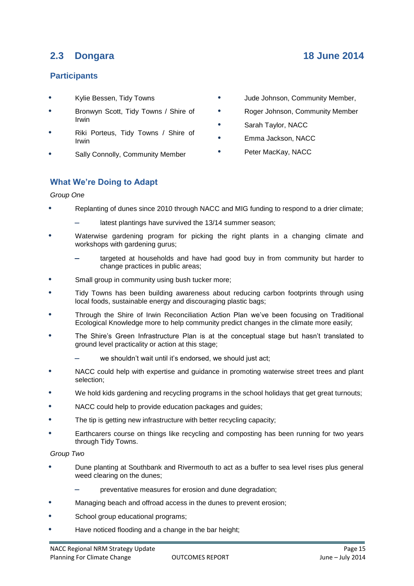# **2.3 Dongara 18 June 2014**

### **Participants**

- **•** Kylie Bessen, Tidy Towns
- **•** Bronwyn Scott, Tidy Towns / Shire of Irwin
- **•** Riki Porteus, Tidy Towns / Shire of Irwin
- **•** Sally Connolly, Community Member
- **•** Jude Johnson, Community Member,
- **•** Roger Johnson, Community Member
- **•** Sarah Taylor, NACC
- **•** Emma Jackson, NACC
- **•** Peter MacKay, NACC

#### **What We're Doing to Adapt**

#### *Group One*

- **•** Replanting of dunes since 2010 through NACC and MIG funding to respond to a drier climate;
	- latest plantings have survived the 13/14 summer season;
- **•** Waterwise gardening program for picking the right plants in a changing climate and workshops with gardening gurus;
	- targeted at households and have had good buy in from community but harder to change practices in public areas;
- **•** Small group in community using bush tucker more;
- **•** Tidy Towns has been building awareness about reducing carbon footprints through using local foods, sustainable energy and discouraging plastic bags;
- **•** Through the Shire of Irwin Reconciliation Action Plan we've been focusing on Traditional Ecological Knowledge more to help community predict changes in the climate more easily;
- **•** The Shire's Green Infrastructure Plan is at the conceptual stage but hasn't translated to ground level practicality or action at this stage;
	- we shouldn't wait until it's endorsed, we should just act;
- **•** NACC could help with expertise and guidance in promoting waterwise street trees and plant selection;
- **•** We hold kids gardening and recycling programs in the school holidays that get great turnouts;
- **•** NACC could help to provide education packages and guides;
- **•** The tip is getting new infrastructure with better recycling capacity;
- **•** Earthcarers course on things like recycling and composting has been running for two years through Tidy Towns.

#### *Group Two*

- **•** Dune planting at Southbank and Rivermouth to act as a buffer to sea level rises plus general weed clearing on the dunes;
	- preventative measures for erosion and dune degradation;
- **•** Managing beach and offroad access in the dunes to prevent erosion;
- **•** School group educational programs;
- **•** Have noticed flooding and a change in the bar height;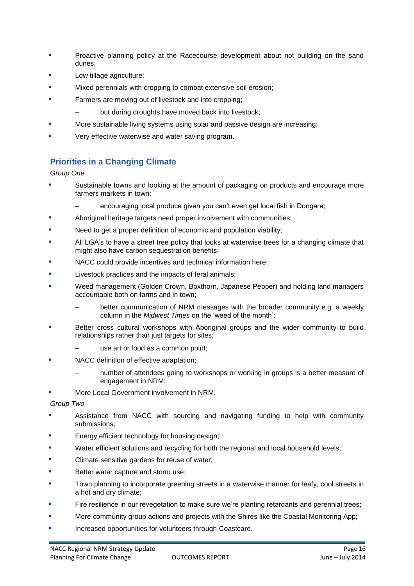- **•** Proactive planning policy at the Racecourse development about not building on the sand dunes;
- **•** Low tillage agriculture;
- **•** Mixed perennials with cropping to combat extensive soil erosion;
- **•** Farmers are moving out of livestock and into cropping;
	- but during droughts have moved back into livestock;
- **•** More sustainable living systems using solar and passive design are increasing;
- **•** Very effective waterwise and water saving program.

# **Priorities in a Changing Climate**

*Group One*

- **•** Sustainable towns and looking at the amount of packaging on products and encourage more farmers markets in town;
	- encouraging local produce given you can't even get local fish in Dongara;
- **•** Aboriginal heritage targets need proper involvement with communities;
- **•** Need to get a proper definition of economic and population viability;
- **•** All LGA's to have a street tree policy that looks at waterwise trees for a changing climate that might also have carbon sequestration benefits;
- **•** NACC could provide incentives and technical information here;
- **•** Livestock practices and the impacts of feral animals;
- **•** Weed management (Golden Crown, Boxthorn, Japanese Pepper) and holding land managers accountable both on farms and in town;
	- better communication of NRM messages with the broader community e.g. a weekly column in the *Midwest Times* on the 'weed of the month';
- **•** Better cross cultural workshops with Aboriginal groups and the wider community to build relationships rather than just targets for sites;
	- use art or food as a common point;
- **•** NACC definition of effective adaptation;
	- number of attendees going to workshops or working in groups is a better measure of engagement in NRM;
- **•** More Local Government involvement in NRM.

*Group Two*

- **•** Assistance from NACC with sourcing and navigating funding to help with community submissions;
- **•** Energy efficient technology for housing design;
- **•** Water efficient solutions and recycling for both the regional and local household levels;
- **•** Climate sensitive gardens for reuse of water;
- **•** Better water capture and storm use;
- **•** Town planning to incorporate greening streets in a waterwise manner for leafy, cool streets in a hot and dry climate;
- Fire resilience in our revegetation to make sure we're planting retardants and perennial trees;
- **•** More community group actions and projects with the Shires like the Coastal Monitoring App;
- **•** Increased opportunities for volunteers through Coastcare.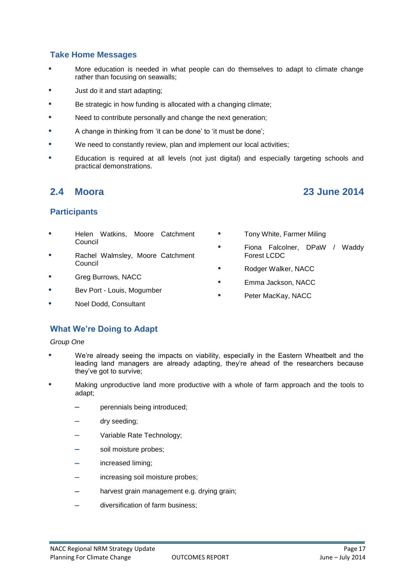#### **Take Home Messages**

- **•** More education is needed in what people can do themselves to adapt to climate change rather than focusing on seawalls;
- **•** Just do it and start adapting;
- **•** Be strategic in how funding is allocated with a changing climate;
- **•** Need to contribute personally and change the next generation;
- A change in thinking from 'it can be done' to 'it must be done';
- **•** We need to constantly review, plan and implement our local activities;
- **•** Education is required at all levels (not just digital) and especially targeting schools and practical demonstrations.

# **2.4 Moora 23 June 2014**

#### **Participants**

- **•** Helen Watkins, Moore Catchment Council
- **•** Rachel Walmsley, Moore Catchment Council
- **•** Greg Burrows, NACC
- **•** Bev Port Louis, Mogumber
- **•** Noel Dodd, Consultant
- **•** Tony White, Farmer Miling
- **•** Fiona Falcolner, DPaW / Waddy Forest LCDC
- **•** Rodger Walker, NACC
- **•** Emma Jackson, NACC
- **•** Peter MacKay, NACC

# **What We're Doing to Adapt**

#### *Group One*

- **•** We're already seeing the impacts on viability, especially in the Eastern Wheatbelt and the leading land managers are already adapting, they're ahead of the researchers because they've got to survive;
- **•** Making unproductive land more productive with a whole of farm approach and the tools to adapt;
	- perennials being introduced;
	- dry seeding;
	- Variable Rate Technology;
	- soil moisture probes;
	- increased liming;
	- increasing soil moisture probes;
	- harvest grain management e.g. drying grain;
	- diversification of farm business;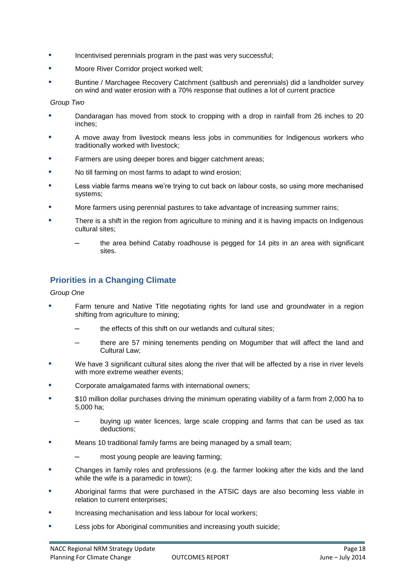- **•** Incentivised perennials program in the past was very successful;
- **•** Moore River Corridor project worked well;
- **•** Buntine / Marchagee Recovery Catchment (saltbush and perennials) did a landholder survey on wind and water erosion with a 70% response that outlines a lot of current practice

*Group Two*

- **•** Dandaragan has moved from stock to cropping with a drop in rainfall from 26 inches to 20 inches;
- **•** A move away from livestock means less jobs in communities for Indigenous workers who traditionally worked with livestock;
- **•** Farmers are using deeper bores and bigger catchment areas;
- **•** No till farming on most farms to adapt to wind erosion;
- **•** Less viable farms means we're trying to cut back on labour costs, so using more mechanised systems;
- **•** More farmers using perennial pastures to take advantage of increasing summer rains;
- **•** There is a shift in the region from agriculture to mining and it is having impacts on Indigenous cultural sites;
	- the area behind Cataby roadhouse is pegged for 14 pits in an area with significant sites.

# **Priorities in a Changing Climate**

#### *Group One*

- **•** Farm tenure and Native Title negotiating rights for land use and groundwater in a region shifting from agriculture to mining;
	- the effects of this shift on our wetlands and cultural sites;
	- there are 57 mining tenements pending on Mogumber that will affect the land and Cultural Law;
- **•** We have 3 significant cultural sites along the river that will be affected by a rise in river levels with more extreme weather events;
- **•** Corporate amalgamated farms with international owners;
- **•** \$10 million dollar purchases driving the minimum operating viability of a farm from 2,000 ha to 5,000 ha;
	- buying up water licences, large scale cropping and farms that can be used as tax deductions;
- **•** Means 10 traditional family farms are being managed by a small team;
	- most young people are leaving farming;
- **•** Changes in family roles and professions (e.g. the farmer looking after the kids and the land while the wife is a paramedic in town);
- **•** Aboriginal farms that were purchased in the ATSIC days are also becoming less viable in relation to current enterprises;
- **•** Increasing mechanisation and less labour for local workers;
- **•** Less jobs for Aboriginal communities and increasing youth suicide;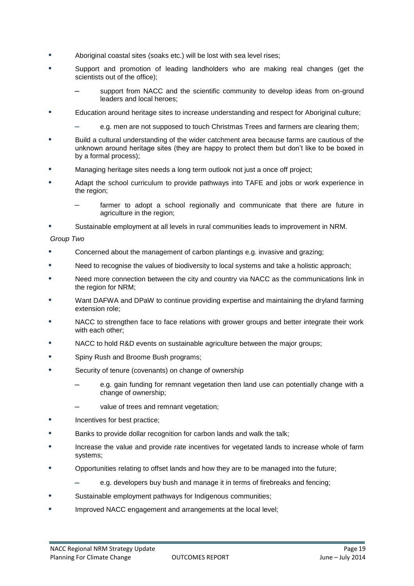- **•** Aboriginal coastal sites (soaks etc.) will be lost with sea level rises;
- **•** Support and promotion of leading landholders who are making real changes (get the scientists out of the office);
	- support from NACC and the scientific community to develop ideas from on-ground leaders and local heroes;
- **•** Education around heritage sites to increase understanding and respect for Aboriginal culture;
	- e.g. men are not supposed to touch Christmas Trees and farmers are clearing them;
- **•** Build a cultural understanding of the wider catchment area because farms are cautious of the unknown around heritage sites (they are happy to protect them but don't like to be boxed in by a formal process);
- **•** Managing heritage sites needs a long term outlook not just a once off project;
- **•** Adapt the school curriculum to provide pathways into TAFE and jobs or work experience in the region;
	- farmer to adopt a school regionally and communicate that there are future in agriculture in the region;
- **•** Sustainable employment at all levels in rural communities leads to improvement in NRM.

#### *Group Two*

- **•** Concerned about the management of carbon plantings e.g. invasive and grazing;
- **•** Need to recognise the values of biodiversity to local systems and take a holistic approach;
- **•** Need more connection between the city and country via NACC as the communications link in the region for NRM;
- **•** Want DAFWA and DPaW to continue providing expertise and maintaining the dryland farming extension role;
- **•** NACC to strengthen face to face relations with grower groups and better integrate their work with each other;
- **•** NACC to hold R&D events on sustainable agriculture between the major groups;
- **•** Spiny Rush and Broome Bush programs;
- **•** Security of tenure (covenants) on change of ownership
	- e.g. gain funding for remnant vegetation then land use can potentially change with a change of ownership;
	- value of trees and remnant vegetation;
- **•** Incentives for best practice;
- **•** Banks to provide dollar recognition for carbon lands and walk the talk;
- **•** Increase the value and provide rate incentives for vegetated lands to increase whole of farm systems;
- **•** Opportunities relating to offset lands and how they are to be managed into the future;
	- e.g. developers buy bush and manage it in terms of firebreaks and fencing;
- **•** Sustainable employment pathways for Indigenous communities;
- **•** Improved NACC engagement and arrangements at the local level;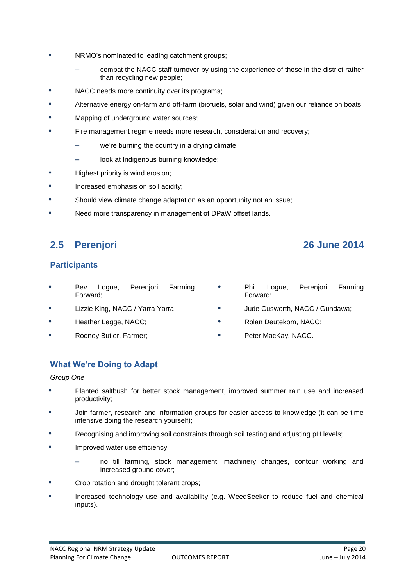- **•** NRMO's nominated to leading catchment groups;
	- combat the NACC staff turnover by using the experience of those in the district rather than recycling new people;
- **•** NACC needs more continuity over its programs;
- **•** Alternative energy on-farm and off-farm (biofuels, solar and wind) given our reliance on boats;
- **•** Mapping of underground water sources;
- **•** Fire management regime needs more research, consideration and recovery;
	- we're burning the country in a drying climate;
	- look at Indigenous burning knowledge;
- **•** Highest priority is wind erosion;
- **•** Increased emphasis on soil acidity;
- **•** Should view climate change adaptation as an opportunity not an issue;
- **•** Need more transparency in management of DPaW offset lands.

# **2.5 Perenjori 26 June 2014**

# **Participants**

- **•** Bev Logue, Perenjori Farming Forward;
- **•** Lizzie King, NACC / Yarra Yarra;
- **•** Heather Legge, NACC;
- **•** Rodney Butler, Farmer;
- **•** Phil Logue, Perenjori Farming Forward;
- **•** Jude Cusworth, NACC / Gundawa;
- **•** Rolan Deutekom, NACC;
- **•** Peter MacKay, NACC.

# **What We're Doing to Adapt**

#### *Group One*

- **•** Planted saltbush for better stock management, improved summer rain use and increased productivity;
- **•** Join farmer, research and information groups for easier access to knowledge (it can be time intensive doing the research yourself);
- **•** Recognising and improving soil constraints through soil testing and adjusting pH levels;
- **•** Improved water use efficiency;
	- no till farming, stock management, machinery changes, contour working and increased ground cover;
- **•** Crop rotation and drought tolerant crops;
- **•** Increased technology use and availability (e.g. WeedSeeker to reduce fuel and chemical inputs).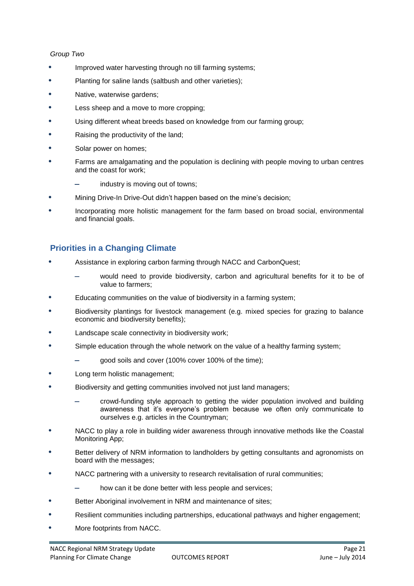#### *Group Two*

- **•** Improved water harvesting through no till farming systems;
- **•** Planting for saline lands (saltbush and other varieties);
- **•** Native, waterwise gardens;
- **•** Less sheep and a move to more cropping;
- **•** Using different wheat breeds based on knowledge from our farming group;
- **•** Raising the productivity of the land;
- **•** Solar power on homes;
- **•** Farms are amalgamating and the population is declining with people moving to urban centres and the coast for work;
	- industry is moving out of towns;
- **•** Mining Drive-In Drive-Out didn't happen based on the mine's decision;
- **•** Incorporating more holistic management for the farm based on broad social, environmental and financial goals.

#### **Priorities in a Changing Climate**

- **•** Assistance in exploring carbon farming through NACC and CarbonQuest;
	- would need to provide biodiversity, carbon and agricultural benefits for it to be of value to farmers;
- **•** Educating communities on the value of biodiversity in a farming system;
- **•** Biodiversity plantings for livestock management (e.g. mixed species for grazing to balance economic and biodiversity benefits);
- **•** Landscape scale connectivity in biodiversity work;
- **•** Simple education through the whole network on the value of a healthy farming system;
	- good soils and cover (100% cover 100% of the time);
- **•** Long term holistic management;
- **•** Biodiversity and getting communities involved not just land managers;
	- crowd-funding style approach to getting the wider population involved and building awareness that it's everyone's problem because we often only communicate to ourselves e.g. articles in the Countryman;
- **•** NACC to play a role in building wider awareness through innovative methods like the Coastal Monitoring App;
- **•** Better delivery of NRM information to landholders by getting consultants and agronomists on board with the messages;
- **•** NACC partnering with a university to research revitalisation of rural communities;
	- how can it be done better with less people and services;
- **•** Better Aboriginal involvement in NRM and maintenance of sites;
- **•** Resilient communities including partnerships, educational pathways and higher engagement;
- **•** More footprints from NACC.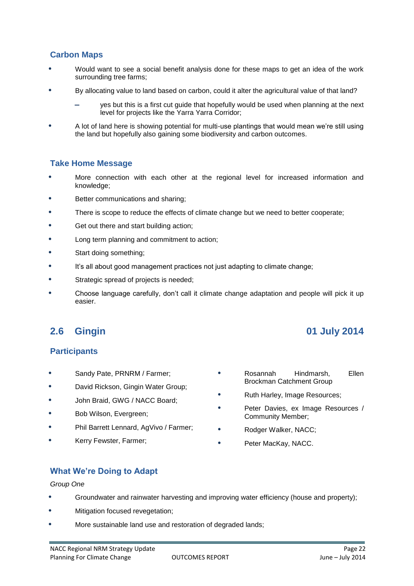# **Carbon Maps**

- **•** Would want to see a social benefit analysis done for these maps to get an idea of the work surrounding tree farms;
- **•** By allocating value to land based on carbon, could it alter the agricultural value of that land?
	- yes but this is a first cut guide that hopefully would be used when planning at the next level for projects like the Yarra Yarra Corridor;
- **•** A lot of land here is showing potential for multi-use plantings that would mean we're still using the land but hopefully also gaining some biodiversity and carbon outcomes.

#### **Take Home Message**

- **•** More connection with each other at the regional level for increased information and knowledge;
- **•** Better communications and sharing;
- **•** There is scope to reduce the effects of climate change but we need to better cooperate;
- **•** Get out there and start building action;
- **•** Long term planning and commitment to action;
- **•** Start doing something;
- **•** It's all about good management practices not just adapting to climate change;
- **•** Strategic spread of projects is needed;
- **•** Choose language carefully, don't call it climate change adaptation and people will pick it up easier.

# **2.6 Gingin 01 July 2014**

#### **Participants**

- **•** Sandy Pate, PRNRM / Farmer;
- **•** David Rickson, Gingin Water Group;
- **•** John Braid, GWG / NACC Board;
- **•** Bob Wilson, Evergreen;
- **•** Phil Barrett Lennard, AgVivo / Farmer;
- **•** Kerry Fewster, Farmer;
- **•** Rosannah Hindmarsh, Ellen Brockman Catchment Group
- **•** Ruth Harley, Image Resources;
- **•** Peter Davies, ex Image Resources / Community Member;
- **•** Rodger Walker, NACC;
- **•** Peter MacKay, NACC.

# **What We're Doing to Adapt**

#### *Group One*

- **•** Groundwater and rainwater harvesting and improving water efficiency (house and property);
- **•** Mitigation focused revegetation;
- **•** More sustainable land use and restoration of degraded lands;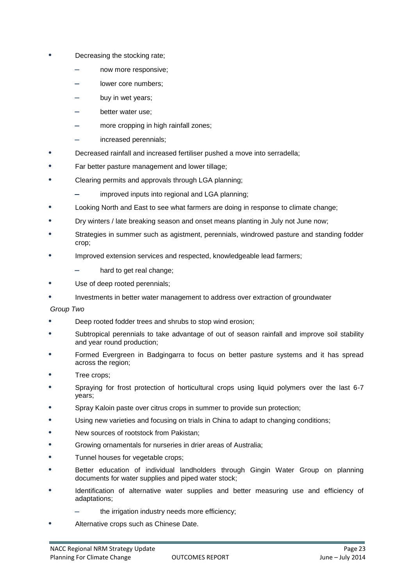- **•** Decreasing the stocking rate;
	- now more responsive;
	- lower core numbers;
	- buy in wet years;
	- better water use;
	- more cropping in high rainfall zones;
	- increased perennials;
- **•** Decreased rainfall and increased fertiliser pushed a move into serradella;
- **•** Far better pasture management and lower tillage;
- **•** Clearing permits and approvals through LGA planning;
	- improved inputs into regional and LGA planning;
- **•** Looking North and East to see what farmers are doing in response to climate change;
- **•** Dry winters / late breaking season and onset means planting in July not June now;
- **•** Strategies in summer such as agistment, perennials, windrowed pasture and standing fodder crop;
- **•** Improved extension services and respected, knowledgeable lead farmers;
	- hard to get real change;
- **•** Use of deep rooted perennials;
- **•** Investments in better water management to address over extraction of groundwater

#### *Group Two*

- **•** Deep rooted fodder trees and shrubs to stop wind erosion;
- **•** Subtropical perennials to take advantage of out of season rainfall and improve soil stability and year round production;
- **•** Formed Evergreen in Badgingarra to focus on better pasture systems and it has spread across the region;
- **•** Tree crops;
- **•** Spraying for frost protection of horticultural crops using liquid polymers over the last 6-7 years;
- **•** Spray Kaloin paste over citrus crops in summer to provide sun protection;
- **•** Using new varieties and focusing on trials in China to adapt to changing conditions;
- **•** New sources of rootstock from Pakistan;
- **•** Growing ornamentals for nurseries in drier areas of Australia;
- **•** Tunnel houses for vegetable crops;
- **•** Better education of individual landholders through Gingin Water Group on planning documents for water supplies and piped water stock;
- **•** Identification of alternative water supplies and better measuring use and efficiency of adaptations;
	- the irrigation industry needs more efficiency;
- **•** Alternative crops such as Chinese Date.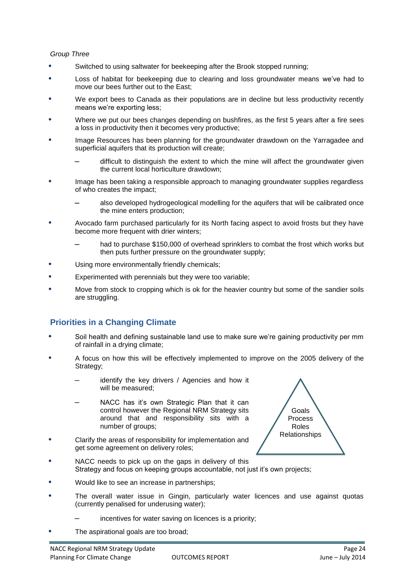#### *Group Three*

- **•** Switched to using saltwater for beekeeping after the Brook stopped running;
- **•** Loss of habitat for beekeeping due to clearing and loss groundwater means we've had to move our bees further out to the East;
- **•** We export bees to Canada as their populations are in decline but less productivity recently means we're exporting less;
- **•** Where we put our bees changes depending on bushfires, as the first 5 years after a fire sees a loss in productivity then it becomes very productive;
- **•** Image Resources has been planning for the groundwater drawdown on the Yarragadee and superficial aquifers that its production will create;
	- difficult to distinguish the extent to which the mine will affect the groundwater given the current local horticulture drawdown;
- **•** Image has been taking a responsible approach to managing groundwater supplies regardless of who creates the impact;
	- also developed hydrogeological modelling for the aquifers that will be calibrated once the mine enters production;
- **•** Avocado farm purchased particularly for its North facing aspect to avoid frosts but they have become more frequent with drier winters;
	- had to purchase \$150,000 of overhead sprinklers to combat the frost which works but then puts further pressure on the groundwater supply;
- **•** Using more environmentally friendly chemicals;
- **•** Experimented with perennials but they were too variable;
- **•** Move from stock to cropping which is ok for the heavier country but some of the sandier soils are struggling.

# **Priorities in a Changing Climate**

- **•** Soil health and defining sustainable land use to make sure we're gaining productivity per mm of rainfall in a drying climate;
- **•** A focus on how this will be effectively implemented to improve on the 2005 delivery of the Strategy;
	- identify the key drivers / Agencies and how it will be measured;
	- NACC has it's own Strategic Plan that it can control however the Regional NRM Strategy sits around that and responsibility sits with a number of groups;
- **•** Clarify the areas of responsibility for implementation and get some agreement on delivery roles;



- **•** NACC needs to pick up on the gaps in delivery of this Strategy and focus on keeping groups accountable, not just it's own projects;
- **•** Would like to see an increase in partnerships;
- **•** The overall water issue in Gingin, particularly water licences and use against quotas (currently penalised for underusing water);
	- incentives for water saving on licences is a priority;
- **•** The aspirational goals are too broad;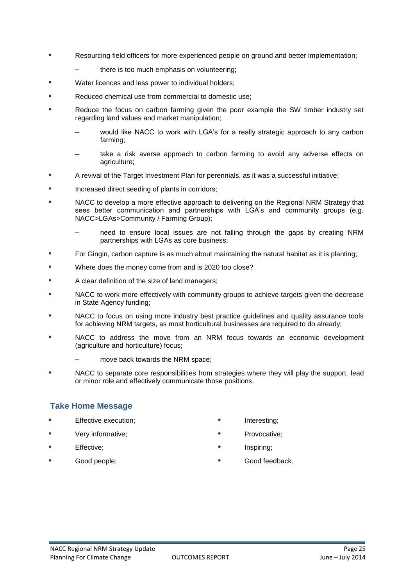- **•** Resourcing field officers for more experienced people on ground and better implementation;
	- there is too much emphasis on volunteering;
- **•** Water licences and less power to individual holders;
- **•** Reduced chemical use from commercial to domestic use;
- **•** Reduce the focus on carbon farming given the poor example the SW timber industry set regarding land values and market manipulation;
	- would like NACC to work with LGA's for a really strategic approach to any carbon farming;
	- take a risk averse approach to carbon farming to avoid any adverse effects on agriculture;
- **•** A revival of the Target Investment Plan for perennials, as it was a successful initiative;
- **•** Increased direct seeding of plants in corridors;
- **•** NACC to develop a more effective approach to delivering on the Regional NRM Strategy that sees better communication and partnerships with LGA's and community groups (e.g. NACC>LGAs>Community / Farming Group);
	- need to ensure local issues are not falling through the gaps by creating NRM partnerships with LGAs as core business;
- **•** For Gingin, carbon capture is as much about maintaining the natural habitat as it is planting;
- **•** Where does the money come from and is 2020 too close?
- **•** A clear definition of the size of land managers;
- **•** NACC to work more effectively with community groups to achieve targets given the decrease in State Agency funding;
- **•** NACC to focus on using more industry best practice guidelines and quality assurance tools for achieving NRM targets, as most horticultural businesses are required to do already;
- **•** NACC to address the move from an NRM focus towards an economic development (agriculture and horticulture) focus;
	- move back towards the NRM space;
- **•** NACC to separate core responsibilities from strategies where they will play the support, lead or minor role and effectively communicate those positions.

#### **Take Home Message**

- **•** Effective execution;
- **•** Very informative;
- **•** Effective;
- **•** Good people;
- **•** Interesting;
- **•** Provocative;
- **•** Inspiring;
- **•** Good feedback.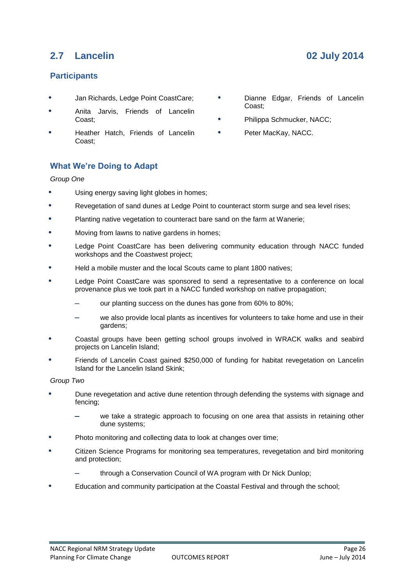# **2.7 Lancelin 02 July 2014**

### **Participants**

- **•** Jan Richards, Ledge Point CoastCare;
- **•** Anita Jarvis, Friends of Lancelin Coast;
- **•** Heather Hatch, Friends of Lancelin Coast;
- **•** Dianne Edgar, Friends of Lancelin Coast;
- **•** Philippa Schmucker, NACC;
- **•** Peter MacKay, NACC.

# **What We're Doing to Adapt**

#### *Group One*

- **•** Using energy saving light globes in homes;
- **•** Revegetation of sand dunes at Ledge Point to counteract storm surge and sea level rises;
- **•** Planting native vegetation to counteract bare sand on the farm at Wanerie;
- **•** Moving from lawns to native gardens in homes;
- **•** Ledge Point CoastCare has been delivering community education through NACC funded workshops and the Coastwest project;
- **•** Held a mobile muster and the local Scouts came to plant 1800 natives;
- **•** Ledge Point CoastCare was sponsored to send a representative to a conference on local provenance plus we took part in a NACC funded workshop on native propagation;
	- our planting success on the dunes has gone from 60% to 80%;
	- we also provide local plants as incentives for volunteers to take home and use in their gardens;
- **•** Coastal groups have been getting school groups involved in WRACK walks and seabird projects on Lancelin Island;
- **•** Friends of Lancelin Coast gained \$250,000 of funding for habitat revegetation on Lancelin Island for the Lancelin Island Skink;

*Group Two*

- **•** Dune revegetation and active dune retention through defending the systems with signage and fencing;
	- we take a strategic approach to focusing on one area that assists in retaining other dune systems;
- **•** Photo monitoring and collecting data to look at changes over time;
- **•** Citizen Science Programs for monitoring sea temperatures, revegetation and bird monitoring and protection;
	- through a Conservation Council of WA program with Dr Nick Dunlop;
- **•** Education and community participation at the Coastal Festival and through the school;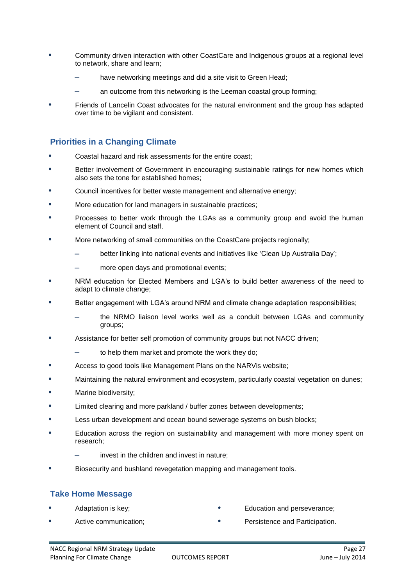- **•** Community driven interaction with other CoastCare and Indigenous groups at a regional level to network, share and learn;
	- have networking meetings and did a site visit to Green Head;
	- an outcome from this networking is the Leeman coastal group forming;
- **•** Friends of Lancelin Coast advocates for the natural environment and the group has adapted over time to be vigilant and consistent.

#### **Priorities in a Changing Climate**

- **•** Coastal hazard and risk assessments for the entire coast;
- **•** Better involvement of Government in encouraging sustainable ratings for new homes which also sets the tone for established homes;
- **•** Council incentives for better waste management and alternative energy;
- **•** More education for land managers in sustainable practices;
- **•** Processes to better work through the LGAs as a community group and avoid the human element of Council and staff.
- **•** More networking of small communities on the CoastCare projects regionally;
	- better linking into national events and initiatives like 'Clean Up Australia Day';
	- more open days and promotional events;
- **•** NRM education for Elected Members and LGA's to build better awareness of the need to adapt to climate change;
- **•** Better engagement with LGA's around NRM and climate change adaptation responsibilities;
	- the NRMO liaison level works well as a conduit between LGAs and community groups;
- **•** Assistance for better self promotion of community groups but not NACC driven;
	- to help them market and promote the work they do;
- **•** Access to good tools like Management Plans on the NARVis website;
- **•** Maintaining the natural environment and ecosystem, particularly coastal vegetation on dunes;
- **•** Marine biodiversity;
- **•** Limited clearing and more parkland / buffer zones between developments;
- **•** Less urban development and ocean bound sewerage systems on bush blocks;
- **•** Education across the region on sustainability and management with more money spent on research;
	- invest in the children and invest in nature;
- **•** Biosecurity and bushland revegetation mapping and management tools.

#### **Take Home Message**

**•** Adaptation is key;

- **•** Education and perseverance;
- **•** Active communication;
- **•** Persistence and Participation.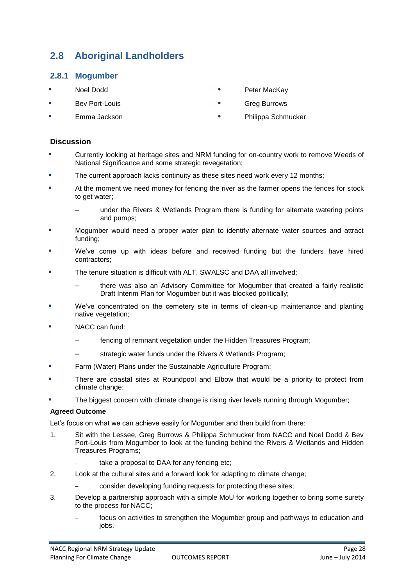# **2.8 Aboriginal Landholders**

#### **2.8.1 Mogumber**

- **•** Noel Dodd
- **•** Bev Port-Louis
- **•** Emma Jackson
- **•** Peter MacKay
- **•** Greg Burrows
- **•** Philippa Schmucker

#### **Discussion**

- **•** Currently looking at heritage sites and NRM funding for on-country work to remove Weeds of National Significance and some strategic revegetation;
- **•** The current approach lacks continuity as these sites need work every 12 months;
- **•** At the moment we need money for fencing the river as the farmer opens the fences for stock to get water;
	- under the Rivers & Wetlands Program there is funding for alternate watering points and pumps;
- **•** Mogumber would need a proper water plan to identify alternate water sources and attract funding;
- **•** We've come up with ideas before and received funding but the funders have hired contractors;
- **•** The tenure situation is difficult with ALT, SWALSC and DAA all involved;
	- there was also an Advisory Committee for Mogumber that created a fairly realistic Draft Interim Plan for Mogumber but it was blocked politically;
- **•** We've concentrated on the cemetery site in terms of clean-up maintenance and planting native vegetation;
- **•** NACC can fund:
	- fencing of remnant vegetation under the Hidden Treasures Program;
	- strategic water funds under the Rivers & Wetlands Program;
- **•** Farm (Water) Plans under the Sustainable Agriculture Program;
- **•** There are coastal sites at Roundpool and Elbow that would be a priority to protect from climate change;
- **•** The biggest concern with climate change is rising river levels running through Mogumber;

#### **Agreed Outcome**

Let's focus on what we can achieve easily for Mogumber and then build from there:

- 1. Sit with the Lessee, Greg Burrows & Philippa Schmucker from NACC and Noel Dodd & Bev Port-Louis from Mogumber to look at the funding behind the Rivers & Wetlands and Hidden Treasures Programs;
	- take a proposal to DAA for any fencing etc;
- 2. Look at the cultural sites and a forward look for adapting to climate change;
	- consider developing funding requests for protecting these sites;
- 3. Develop a partnership approach with a simple MoU for working together to bring some surety to the process for NACC;
	- focus on activities to strengthen the Mogumber group and pathways to education and jobs.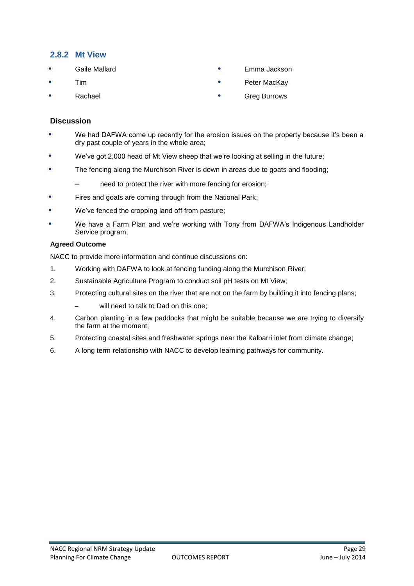#### **2.8.2 Mt View**

- **•** Gaile Mallard
- **•** Tim
- **•** Rachael
- **•** Emma Jackson
- **•** Peter MacKay
- **•** Greg Burrows

#### **Discussion**

- **•** We had DAFWA come up recently for the erosion issues on the property because it's been a dry past couple of years in the whole area;
- **•** We've got 2,000 head of Mt View sheep that we're looking at selling in the future;
- **•** The fencing along the Murchison River is down in areas due to goats and flooding;
	- need to protect the river with more fencing for erosion;
- **•** Fires and goats are coming through from the National Park;
- **•** We've fenced the cropping land off from pasture;
- **•** We have a Farm Plan and we're working with Tony from DAFWA's Indigenous Landholder Service program;

#### **Agreed Outcome**

NACC to provide more information and continue discussions on:

- 1. Working with DAFWA to look at fencing funding along the Murchison River;
- 2. Sustainable Agriculture Program to conduct soil pH tests on Mt View;
- 3. Protecting cultural sites on the river that are not on the farm by building it into fencing plans;
	- will need to talk to Dad on this one;
- 4. Carbon planting in a few paddocks that might be suitable because we are trying to diversify the farm at the moment;
- 5. Protecting coastal sites and freshwater springs near the Kalbarri inlet from climate change;
- 6. A long term relationship with NACC to develop learning pathways for community.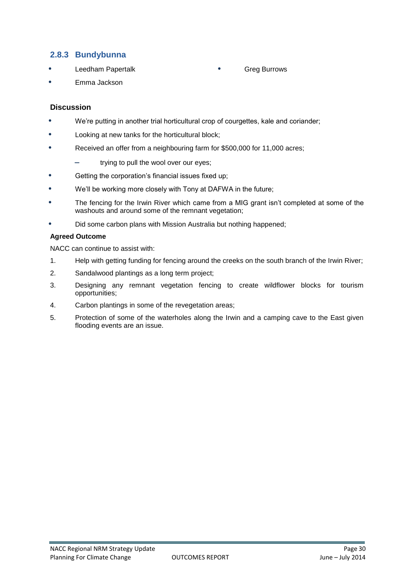#### **2.8.3 Bundybunna**

**•** Leedham Papertalk

#### **•** Greg Burrows

**•** Emma Jackson

#### **Discussion**

- **•** We're putting in another trial horticultural crop of courgettes, kale and coriander;
- **•** Looking at new tanks for the horticultural block;
- **•** Received an offer from a neighbouring farm for \$500,000 for 11,000 acres;
	- trying to pull the wool over our eyes;
- **•** Getting the corporation's financial issues fixed up;
- **•** We'll be working more closely with Tony at DAFWA in the future;
- **•** The fencing for the Irwin River which came from a MIG grant isn't completed at some of the washouts and around some of the remnant vegetation;
- **•** Did some carbon plans with Mission Australia but nothing happened;

#### **Agreed Outcome**

NACC can continue to assist with:

- 1. Help with getting funding for fencing around the creeks on the south branch of the Irwin River;
- 2. Sandalwood plantings as a long term project;
- 3. Designing any remnant vegetation fencing to create wildflower blocks for tourism opportunities;
- 4. Carbon plantings in some of the revegetation areas;
- 5. Protection of some of the waterholes along the Irwin and a camping cave to the East given flooding events are an issue.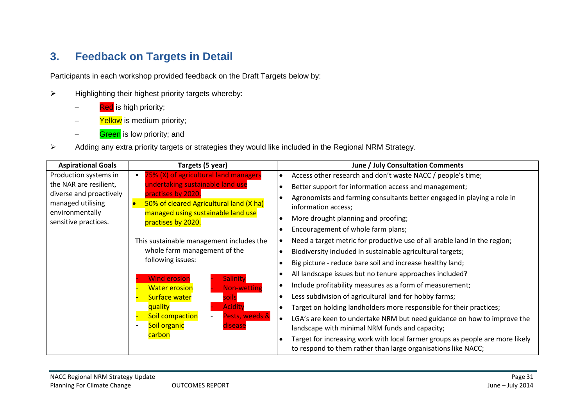# **3. Feedback on Targets in Detail**

Participants in each workshop provided feedback on the Draft Targets below by:

- $\triangleright$  Highlighting their highest priority targets whereby:
	- Red is high priority;
	- Yellow is medium priority;
	- Green is low priority; and
- Adding any extra priority targets or strategies they would like included in the Regional NRM Strategy.

| <b>Aspirational Goals</b>                                       | Targets (5 year)                                                           | June / July Consultation Comments                                                                                                                           |
|-----------------------------------------------------------------|----------------------------------------------------------------------------|-------------------------------------------------------------------------------------------------------------------------------------------------------------|
| Production systems in                                           | 75% (X) of agricultural land managers                                      | Access other research and don't waste NACC / people's time;<br>$\bullet$                                                                                    |
| the NAR are resilient,                                          | undertaking sustainable land use                                           | Better support for information access and management;<br>$\bullet$                                                                                          |
| diverse and proactively<br>managed utilising<br>environmentally | practises by 2020.<br>50% of cleared Agricultural land (X ha)<br>$\bullet$ | Agronomists and farming consultants better engaged in playing a role in<br>$\bullet$<br>information access;                                                 |
| sensitive practices.                                            | managed using sustainable land use<br>practises by 2020.                   | More drought planning and proofing;<br>$\bullet$                                                                                                            |
|                                                                 |                                                                            | Encouragement of whole farm plans;<br>$\bullet$                                                                                                             |
|                                                                 | This sustainable management includes the                                   | Need a target metric for productive use of all arable land in the region;<br>$\bullet$                                                                      |
|                                                                 | whole farm management of the                                               | Biodiversity included in sustainable agricultural targets;<br>$\bullet$                                                                                     |
|                                                                 | following issues:                                                          | Big picture - reduce bare soil and increase healthy land;<br>$\bullet$                                                                                      |
|                                                                 | Salinity<br><b>Wind erosion</b>                                            | All landscape issues but no tenure approaches included?<br>$\bullet$                                                                                        |
|                                                                 | <b>Water erosion</b><br>Non-wetting                                        | Include profitability measures as a form of measurement;<br>$\bullet$                                                                                       |
|                                                                 | <b>Surface water</b><br>soils                                              | Less subdivision of agricultural land for hobby farms;<br>$\bullet$                                                                                         |
|                                                                 | quality<br><b>Acidity</b>                                                  | Target on holding landholders more responsible for their practices;<br>$\bullet$                                                                            |
|                                                                 | Pests, weeds &<br>Soil compaction                                          | LGA's are keen to undertake NRM but need guidance on how to improve the<br>$\bullet$                                                                        |
|                                                                 | Soil organic<br>disease                                                    | landscape with minimal NRM funds and capacity;                                                                                                              |
|                                                                 | <b>carbon</b>                                                              | Target for increasing work with local farmer groups as people are more likely<br>$\bullet$<br>to respond to them rather than large organisations like NACC; |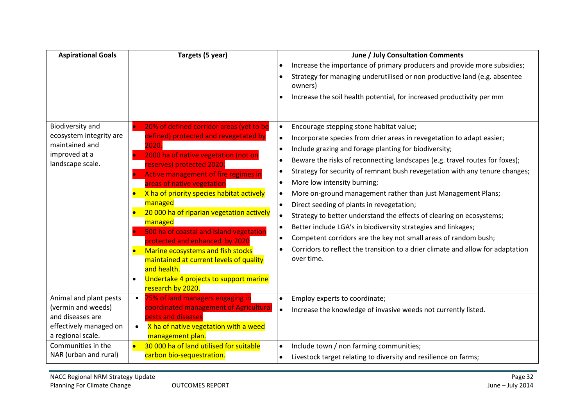| <b>Aspirational Goals</b>                    | Targets (5 year)                                                                       | June / July Consultation Comments                                                            |
|----------------------------------------------|----------------------------------------------------------------------------------------|----------------------------------------------------------------------------------------------|
|                                              |                                                                                        | Increase the importance of primary producers and provide more subsidies;                     |
|                                              |                                                                                        | Strategy for managing underutilised or non productive land (e.g. absentee<br>owners)         |
|                                              |                                                                                        | Increase the soil health potential, for increased productivity per mm<br>$\bullet$           |
|                                              |                                                                                        |                                                                                              |
| Biodiversity and                             | 20% of defined corridor areas (yet to be<br><b>In</b>                                  | Encourage stepping stone habitat value;<br>$\bullet$                                         |
| ecosystem integrity are                      | defined) protected and revegetated by                                                  | Incorporate species from drier areas in revegetation to adapt easier;<br>$\bullet$           |
| maintained and<br>improved at a              | 2020.                                                                                  | Include grazing and forage planting for biodiversity;<br>$\bullet$                           |
| landscape scale.                             | 2000 ha of native vegetation (not on<br>reserves) protected 2020.                      | Beware the risks of reconnecting landscapes (e.g. travel routes for foxes);<br>$\bullet$     |
|                                              | Active management of fire regimes in                                                   | Strategy for security of remnant bush revegetation with any tenure changes;<br>$\bullet$     |
|                                              | areas of native vegetation                                                             | More low intensity burning;<br>$\bullet$                                                     |
|                                              | X ha of priority species habitat actively<br>$\bullet$                                 | More on-ground management rather than just Management Plans;<br>$\bullet$                    |
|                                              | managed                                                                                | Direct seeding of plants in revegetation;<br>$\bullet$                                       |
|                                              | 20 000 ha of riparian vegetation actively                                              | Strategy to better understand the effects of clearing on ecosystems;<br>$\bullet$            |
|                                              | managed<br>500 ha of coastal and Island vegetation<br><b>D</b>                         | Better include LGA's in biodiversity strategies and linkages;<br>$\bullet$                   |
|                                              | protected and enhanced by 2020                                                         | Competent corridors are the key not small areas of random bush;<br>$\bullet$                 |
|                                              | Marine ecosystems and fish stocks                                                      | Corridors to reflect the transition to a drier climate and allow for adaptation<br>$\bullet$ |
|                                              | maintained at current levels of quality                                                | over time.                                                                                   |
|                                              | and health.                                                                            |                                                                                              |
|                                              | Undertake 4 projects to support marine<br>$\bullet$                                    |                                                                                              |
|                                              | research by 2020.                                                                      |                                                                                              |
| Animal and plant pests<br>(vermin and weeds) | 75% of land managers engaging in<br>$\bullet$<br>coordinated management of Agricultura | Employ experts to coordinate;<br>$\bullet$                                                   |
| and diseases are                             | pests and diseases                                                                     | Increase the knowledge of invasive weeds not currently listed.<br>$\bullet$                  |
| effectively managed on                       | X ha of native vegetation with a weed                                                  |                                                                                              |
| a regional scale.                            | management plan.                                                                       |                                                                                              |
| Communities in the                           | 30 000 ha of land utilised for suitable<br>$\bullet$                                   | Include town / non farming communities;<br>$\bullet$                                         |
| NAR (urban and rural)                        | carbon bio-sequestration.                                                              | Livestock target relating to diversity and resilience on farms;<br>$\bullet$                 |

÷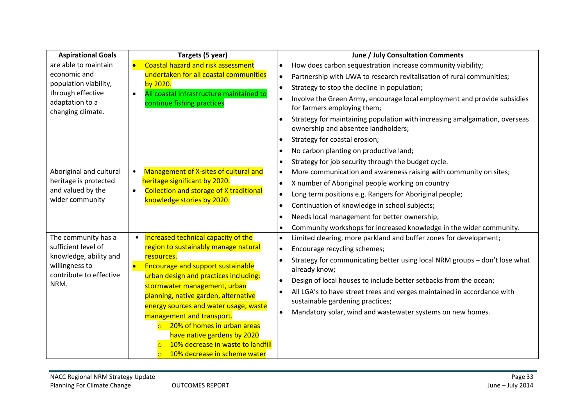| <b>Aspirational Goals</b>                 | Targets (5 year)                                                     | June / July Consultation Comments                                                                                 |
|-------------------------------------------|----------------------------------------------------------------------|-------------------------------------------------------------------------------------------------------------------|
| are able to maintain                      | <b>Coastal hazard and risk assessment</b>                            | How does carbon sequestration increase community viability;<br>$\bullet$                                          |
| economic and                              | undertaken for all coastal communities                               | Partnership with UWA to research revitalisation of rural communities;<br>$\bullet$                                |
| population viability,                     | by 2020.                                                             | Strategy to stop the decline in population;<br>$\bullet$                                                          |
| through effective                         | All coastal infrastructure maintained to<br>$\bullet$                | Involve the Green Army, encourage local employment and provide subsidies<br>$\bullet$                             |
| adaptation to a<br>changing climate.      | continue fishing practices                                           | for farmers employing them;                                                                                       |
|                                           |                                                                      | Strategy for maintaining population with increasing amalgamation, overseas<br>ownership and absentee landholders; |
|                                           |                                                                      | Strategy for coastal erosion;<br>$\bullet$                                                                        |
|                                           |                                                                      | No carbon planting on productive land;<br>$\bullet$                                                               |
|                                           |                                                                      | Strategy for job security through the budget cycle.                                                               |
| Aboriginal and cultural                   | Management of X-sites of cultural and<br>$\bullet$                   | More communication and awareness raising with community on sites;<br>$\bullet$                                    |
| heritage is protected                     | heritage significant by 2020.                                        | X number of Aboriginal people working on country<br>$\bullet$                                                     |
| and valued by the                         | <b>Collection and storage of X traditional</b><br>$\bullet$          | Long term positions e.g. Rangers for Aboriginal people;<br>$\bullet$                                              |
| wider community                           | knowledge stories by 2020.                                           | Continuation of knowledge in school subjects;<br>$\bullet$                                                        |
|                                           |                                                                      | Needs local management for better ownership;<br>$\bullet$                                                         |
|                                           |                                                                      | Community workshops for increased knowledge in the wider community.<br>$\bullet$                                  |
| The community has a                       | Increased technical capacity of the<br>$\bullet$                     | Limited clearing, more parkland and buffer zones for development;<br>$\bullet$                                    |
| sufficient level of                       | region to sustainably manage natural                                 | Encourage recycling schemes;<br>$\bullet$                                                                         |
| knowledge, ability and                    | resources.                                                           | Strategy for communicating better using local NRM groups - don't lose what                                        |
| willingness to<br>contribute to effective | <b>Encourage and support sustainable</b><br>$\bullet$                | already know;                                                                                                     |
| NRM.                                      | urban design and practices including:                                | Design of local houses to include better setbacks from the ocean;                                                 |
|                                           | stormwater management, urban<br>planning, native garden, alternative | All LGA's to have street trees and verges maintained in accordance with<br>$\bullet$                              |
|                                           | energy sources and water usage, waste                                | sustainable gardening practices;                                                                                  |
|                                           | management and transport.                                            | Mandatory solar, wind and wastewater systems on new homes.<br>$\bullet$                                           |
|                                           | 20% of homes in urban areas<br>$\overline{O}$                        |                                                                                                                   |
|                                           | have native gardens by 2020                                          |                                                                                                                   |
|                                           | 10% decrease in waste to landfill                                    |                                                                                                                   |
|                                           | 10% decrease in scheme water<br>$\overline{O}$                       |                                                                                                                   |

e.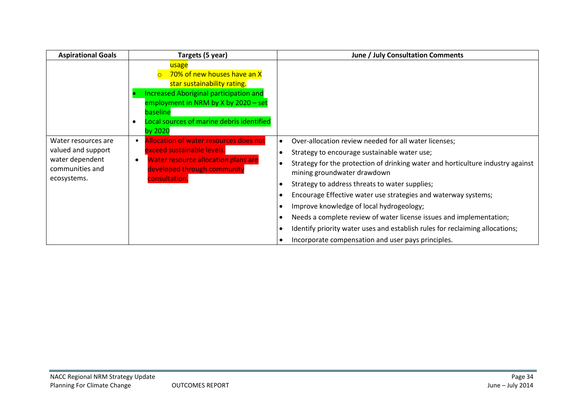| <b>Aspirational Goals</b>                                                                      | Targets (5 year)                                                                                                                                                                                                                         | June / July Consultation Comments                                                                                                                                                                                                                                                                                                                                                                                                                                                                                                                                                                                                                                                                            |
|------------------------------------------------------------------------------------------------|------------------------------------------------------------------------------------------------------------------------------------------------------------------------------------------------------------------------------------------|--------------------------------------------------------------------------------------------------------------------------------------------------------------------------------------------------------------------------------------------------------------------------------------------------------------------------------------------------------------------------------------------------------------------------------------------------------------------------------------------------------------------------------------------------------------------------------------------------------------------------------------------------------------------------------------------------------------|
|                                                                                                | usage<br>70% of new houses have an X<br>star sustainability rating.<br>Increased Aboriginal participation and<br>employment in NRM by X by $2020 - set$<br>baseline<br>Local sources of marine debris identified<br>$\bullet$<br>by 2020 |                                                                                                                                                                                                                                                                                                                                                                                                                                                                                                                                                                                                                                                                                                              |
| Water resources are<br>valued and support<br>water dependent<br>communities and<br>ecosystems. | Allocation of water resources does not<br>exceed sustainable levels.<br><b>Water resource allocation plans are</b><br>$\bullet$<br>developed through community<br>consultation.                                                          | Over-allocation review needed for all water licenses;<br>$\bullet$<br>Strategy to encourage sustainable water use;<br>$\bullet$<br>Strategy for the protection of drinking water and horticulture industry against<br>$\bullet$<br>mining groundwater drawdown<br>Strategy to address threats to water supplies;<br>$\bullet$<br>Encourage Effective water use strategies and waterway systems;<br>$\bullet$<br>Improve knowledge of local hydrogeology;<br>$\bullet$<br>Needs a complete review of water license issues and implementation;<br>$\bullet$<br>Identify priority water uses and establish rules for reclaiming allocations;<br>$\bullet$<br>Incorporate compensation and user pays principles. |

÷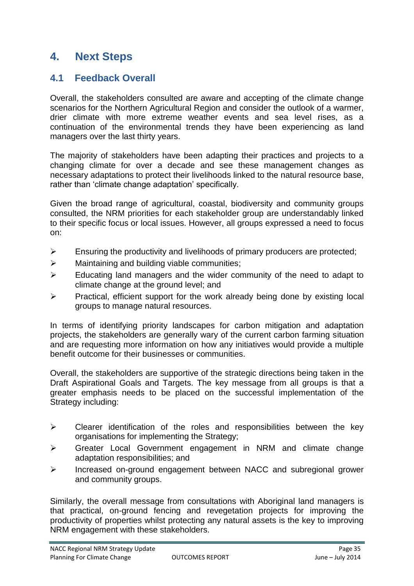# **4. Next Steps**

# **4.1 Feedback Overall**

Overall, the stakeholders consulted are aware and accepting of the climate change scenarios for the Northern Agricultural Region and consider the outlook of a warmer, drier climate with more extreme weather events and sea level rises, as a continuation of the environmental trends they have been experiencing as land managers over the last thirty years.

The majority of stakeholders have been adapting their practices and projects to a changing climate for over a decade and see these management changes as necessary adaptations to protect their livelihoods linked to the natural resource base, rather than 'climate change adaptation' specifically.

Given the broad range of agricultural, coastal, biodiversity and community groups consulted, the NRM priorities for each stakeholder group are understandably linked to their specific focus or local issues. However, all groups expressed a need to focus on:

- $\triangleright$  Ensuring the productivity and livelihoods of primary producers are protected;
- $\triangleright$  Maintaining and building viable communities;
- $\triangleright$  Educating land managers and the wider community of the need to adapt to climate change at the ground level; and
- $\triangleright$  Practical, efficient support for the work already being done by existing local groups to manage natural resources.

In terms of identifying priority landscapes for carbon mitigation and adaptation projects, the stakeholders are generally wary of the current carbon farming situation and are requesting more information on how any initiatives would provide a multiple benefit outcome for their businesses or communities.

Overall, the stakeholders are supportive of the strategic directions being taken in the Draft Aspirational Goals and Targets. The key message from all groups is that a greater emphasis needs to be placed on the successful implementation of the Strategy including:

- $\triangleright$  Clearer identification of the roles and responsibilities between the key organisations for implementing the Strategy;
- Greater Local Government engagement in NRM and climate change adaptation responsibilities; and
- Increased on-ground engagement between NACC and subregional grower and community groups.

Similarly, the overall message from consultations with Aboriginal land managers is that practical, on-ground fencing and revegetation projects for improving the productivity of properties whilst protecting any natural assets is the key to improving NRM engagement with these stakeholders.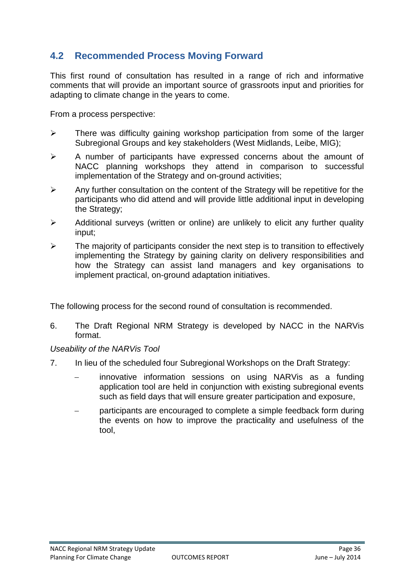# **4.2 Recommended Process Moving Forward**

This first round of consultation has resulted in a range of rich and informative comments that will provide an important source of grassroots input and priorities for adapting to climate change in the years to come.

From a process perspective:

- $\triangleright$  There was difficulty gaining workshop participation from some of the larger Subregional Groups and key stakeholders (West Midlands, Leibe, MIG);
- $\triangleright$  A number of participants have expressed concerns about the amount of NACC planning workshops they attend in comparison to successful implementation of the Strategy and on-ground activities;
- $\triangleright$  Any further consultation on the content of the Strategy will be repetitive for the participants who did attend and will provide little additional input in developing the Strategy;
- $\triangleright$  Additional surveys (written or online) are unlikely to elicit any further quality input;
- $\triangleright$  The majority of participants consider the next step is to transition to effectively implementing the Strategy by gaining clarity on delivery responsibilities and how the Strategy can assist land managers and key organisations to implement practical, on-ground adaptation initiatives.

The following process for the second round of consultation is recommended.

6. The Draft Regional NRM Strategy is developed by NACC in the NARVis format.

*Useability of the NARVis Tool*

- 7. In lieu of the scheduled four Subregional Workshops on the Draft Strategy:
	- innovative information sessions on using NARVis as a funding application tool are held in conjunction with existing subregional events such as field days that will ensure greater participation and exposure,
	- participants are encouraged to complete a simple feedback form during the events on how to improve the practicality and usefulness of the tool,